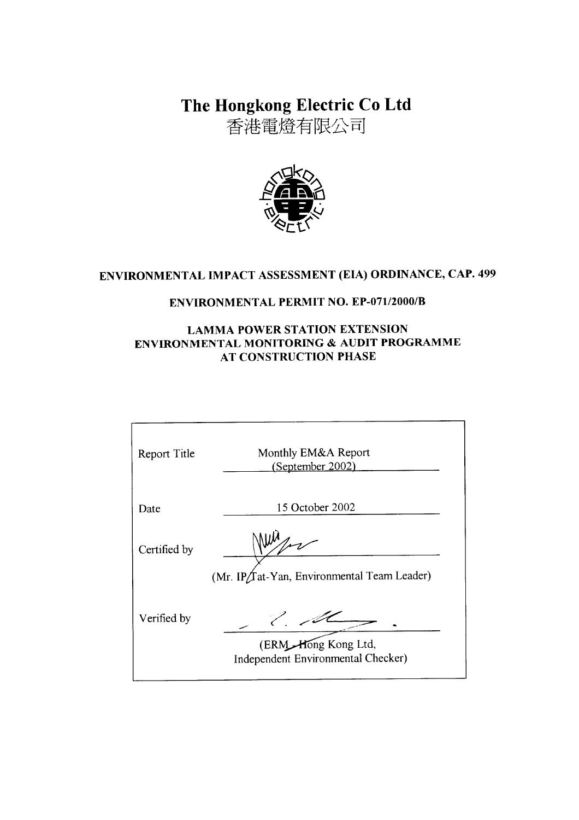The Hongkong Electric Co Ltd

香港電燈有限公司



# ENVIRONMENTAL IMPACT ASSESSMENT (EIA) ORDINANCE, CAP. 499

# **ENVIRONMENTAL PERMIT NO. EP-071/2000/B**

### **LAMMA POWER STATION EXTENSION** ENVIRONMENTAL MONITORING & AUDIT PROGRAMME **AT CONSTRUCTION PHASE**

| Report Title | Monthly EM&A Report<br>(September 2002)                   |
|--------------|-----------------------------------------------------------|
| Date         | 15 October 2002                                           |
| Certified by |                                                           |
|              | (Mr. IP/Tat-Yan, Environmental Team Leader)               |
| Verified by  |                                                           |
|              | (ERM Hong Kong Ltd,<br>Independent Environmental Checker) |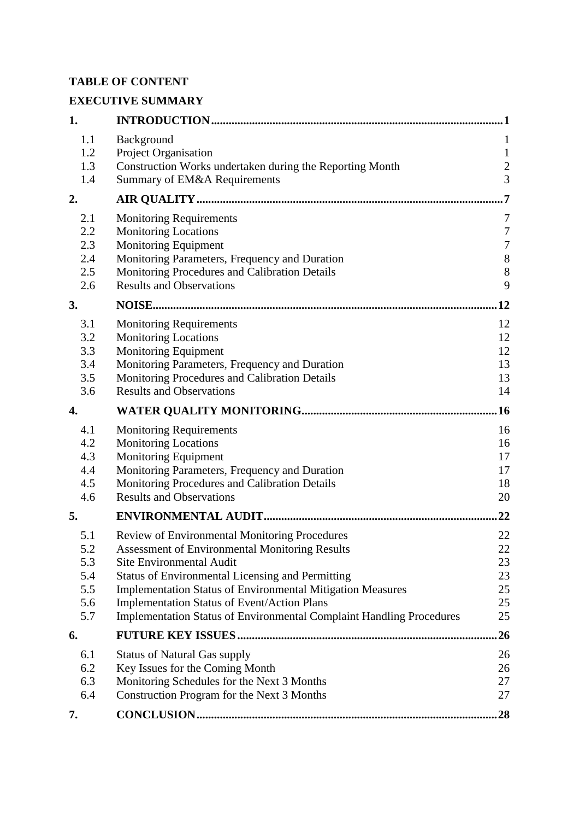### **TABLE OF CONTENT**

# **EXECUTIVE SUMMARY**

| 1.         |                                                                                                                                   | 1                       |
|------------|-----------------------------------------------------------------------------------------------------------------------------------|-------------------------|
| 1.1        | Background                                                                                                                        | $\mathbf{1}$            |
| 1.2        | Project Organisation                                                                                                              | $\mathbf{1}$            |
| 1.3        | Construction Works undertaken during the Reporting Month                                                                          | $\overline{\mathbf{c}}$ |
| 1.4        | Summary of EM&A Requirements                                                                                                      | $\overline{3}$          |
| 2.         |                                                                                                                                   | 7                       |
| 2.1        | <b>Monitoring Requirements</b>                                                                                                    | 7                       |
| 2.2        | <b>Monitoring Locations</b>                                                                                                       | $\boldsymbol{7}$        |
| 2.3        | Monitoring Equipment                                                                                                              | $\boldsymbol{7}$        |
| 2.4        | Monitoring Parameters, Frequency and Duration                                                                                     | $\,8\,$                 |
| 2.5        | Monitoring Procedures and Calibration Details                                                                                     | 8                       |
| 2.6        | <b>Results and Observations</b>                                                                                                   | 9                       |
| 3.         |                                                                                                                                   | 12                      |
| 3.1        | <b>Monitoring Requirements</b>                                                                                                    | 12                      |
| 3.2        | <b>Monitoring Locations</b>                                                                                                       | 12                      |
| 3.3        | Monitoring Equipment                                                                                                              | 12                      |
| 3.4        | Monitoring Parameters, Frequency and Duration                                                                                     | 13                      |
| 3.5        | Monitoring Procedures and Calibration Details                                                                                     | 13                      |
| 3.6        | <b>Results and Observations</b>                                                                                                   | 14                      |
| 4.         |                                                                                                                                   | .16                     |
| 4.1        | <b>Monitoring Requirements</b>                                                                                                    | 16                      |
| 4.2        | <b>Monitoring Locations</b>                                                                                                       | 16                      |
| 4.3        | <b>Monitoring Equipment</b>                                                                                                       | 17                      |
| 4.4        | Monitoring Parameters, Frequency and Duration                                                                                     | 17                      |
| 4.5        | Monitoring Procedures and Calibration Details                                                                                     | 18                      |
| 4.6        | <b>Results and Observations</b>                                                                                                   | 20                      |
| 5.         |                                                                                                                                   | 22                      |
| 5.1        | Review of Environmental Monitoring Procedures                                                                                     | 22                      |
| 5.2        | <b>Assessment of Environmental Monitoring Results</b>                                                                             | 22                      |
| 5.3        | <b>Site Environmental Audit</b>                                                                                                   | 23                      |
| 5.4        | <b>Status of Environmental Licensing and Permitting</b>                                                                           | 23                      |
| 5.5        | <b>Implementation Status of Environmental Mitigation Measures</b>                                                                 | 25                      |
| 5.6<br>5.7 | <b>Implementation Status of Event/Action Plans</b><br><b>Implementation Status of Environmental Complaint Handling Procedures</b> | 25<br>25                |
| 6.         |                                                                                                                                   | 26                      |
|            |                                                                                                                                   |                         |
| 6.1        | <b>Status of Natural Gas supply</b>                                                                                               | 26                      |
| 6.2        | Key Issues for the Coming Month                                                                                                   | 26                      |
| 6.3<br>6.4 | Monitoring Schedules for the Next 3 Months                                                                                        | 27<br>27                |
|            | Construction Program for the Next 3 Months                                                                                        |                         |
| 7.         |                                                                                                                                   | 28                      |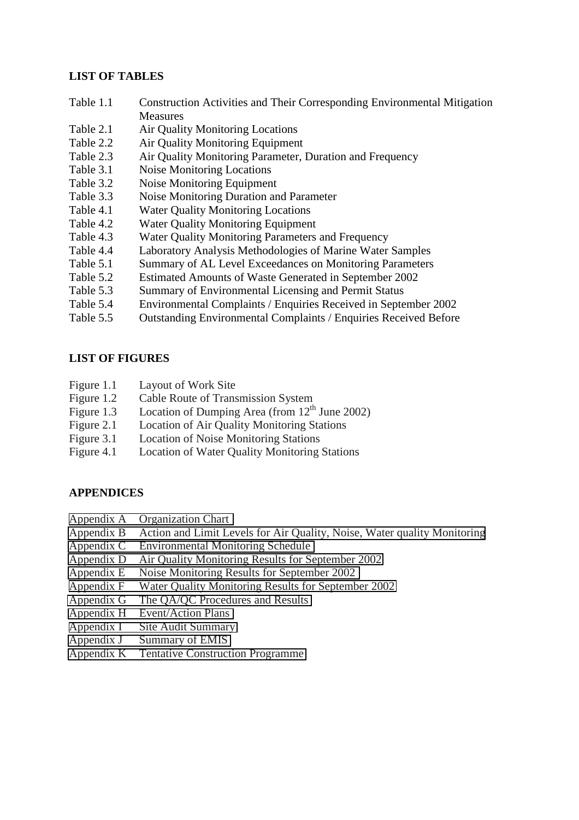#### **LIST OF TABLES**

- Table 1.1 Construction Activities and Their Corresponding Environmental Mitigation **Measures**
- Table 2.1 Air Quality Monitoring Locations
- Table 2.2 Air Quality Monitoring Equipment
- Table 2.3 Air Quality Monitoring Parameter, Duration and Frequency
- Table 3.1 Noise Monitoring Locations
- Table 3.2 Noise Monitoring Equipment
- Table 3.3 Noise Monitoring Duration and Parameter
- Table 4.1 Water Quality Monitoring Locations
- Table 4.2 Water Quality Monitoring Equipment
- Table 4.3 Water Quality Monitoring Parameters and Frequency
- Table 4.4 Laboratory Analysis Methodologies of Marine Water Samples
- Table 5.1 Summary of AL Level Exceedances on Monitoring Parameters
- Table 5.2 Estimated Amounts of Waste Generated in September 2002
- Table 5.3 Summary of Environmental Licensing and Permit Status
- Table 5.4 Environmental Complaints / Enquiries Received in September 2002
- Table 5.5 Outstanding Environmental Complaints / Enquiries Received Before

#### **LIST OF FIGURES**

- Figure 1.1 Layout of Work Site
- Figure 1.2 Cable Route of Transmission System
- Figure 1.3 Location of Dumping Area (from  $12<sup>th</sup>$  June 2002)
- Figure 2.1 Location of Air Quality Monitoring Stations
- Figure 3.1 Location of Noise Monitoring Stations
- Figure 4.1 Location of Water Quality Monitoring Stations

#### **APPENDICES**

- Appendix A Organization Chart
- Appendix B Action and Limit Levels for Air Quality, Noise, Water quality Monitoring
- Appendix C Environmental Monitoring Schedule
- Appendix D Air Quality Monitoring Results for September 2002
- Appendix E Noise Monitoring Results for September 2002
- Appendix F Water Quality Monitoring Results for September 2002
- Appendix G The QA/QC Procedures and Results
- Appendix H Event/Action Plans
- Appendix I Site Audit Summary
- Appendix J Summary of EMIS
- Appendix K Tentative Construction Programme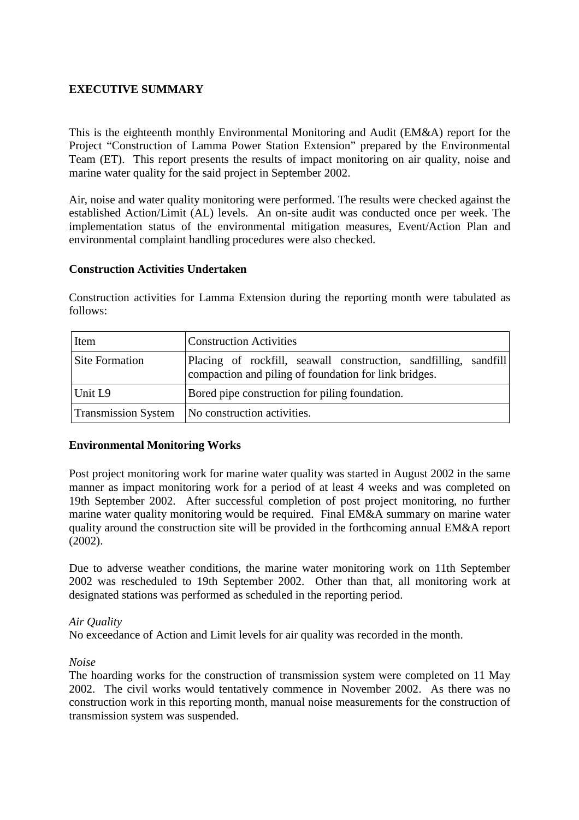### **EXECUTIVE SUMMARY**

This is the eighteenth monthly Environmental Monitoring and Audit (EM&A) report for the Project "Construction of Lamma Power Station Extension" prepared by the Environmental Team (ET). This report presents the results of impact monitoring on air quality, noise and marine water quality for the said project in September 2002.

Air, noise and water quality monitoring were performed. The results were checked against the established Action/Limit (AL) levels. An on-site audit was conducted once per week. The implementation status of the environmental mitigation measures, Event/Action Plan and environmental complaint handling procedures were also checked.

#### **Construction Activities Undertaken**

Construction activities for Lamma Extension during the reporting month were tabulated as follows:

| Item                       | <b>Construction Activities</b>                                                                                            |  |
|----------------------------|---------------------------------------------------------------------------------------------------------------------------|--|
| <b>Site Formation</b>      | Placing of rockfill, seawall construction, sandfilling, sandfill<br>compaction and piling of foundation for link bridges. |  |
| Unit L9                    | Bored pipe construction for piling foundation.                                                                            |  |
| <b>Transmission System</b> | No construction activities.                                                                                               |  |

### **Environmental Monitoring Works**

Post project monitoring work for marine water quality was started in August 2002 in the same manner as impact monitoring work for a period of at least 4 weeks and was completed on 19th September 2002. After successful completion of post project monitoring, no further marine water quality monitoring would be required. Final EM&A summary on marine water quality around the construction site will be provided in the forthcoming annual EM&A report (2002).

Due to adverse weather conditions, the marine water monitoring work on 11th September 2002 was rescheduled to 19th September 2002. Other than that, all monitoring work at designated stations was performed as scheduled in the reporting period.

#### *Air Quality*

No exceedance of Action and Limit levels for air quality was recorded in the month.

*Noise* 

The hoarding works for the construction of transmission system were completed on 11 May 2002. The civil works would tentatively commence in November 2002. As there was no construction work in this reporting month, manual noise measurements for the construction of transmission system was suspended.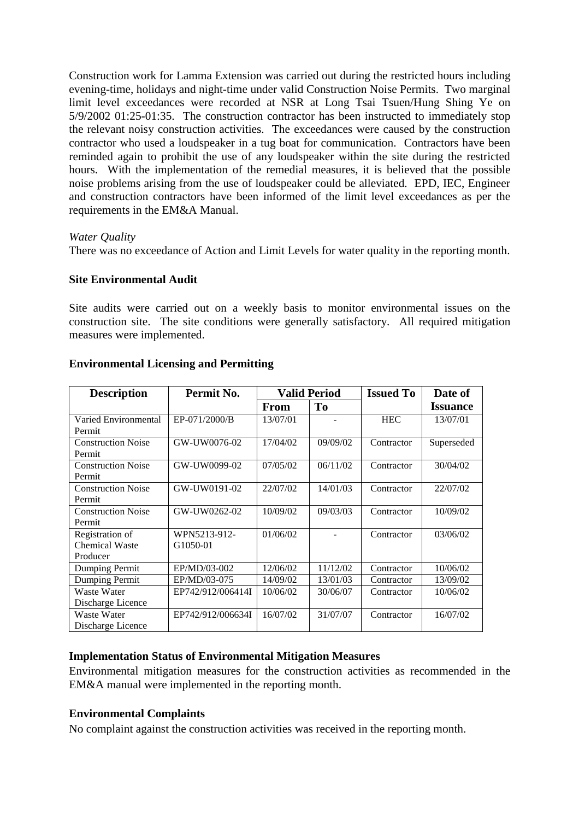Construction work for Lamma Extension was carried out during the restricted hours including evening-time, holidays and night-time under valid Construction Noise Permits. Two marginal limit level exceedances were recorded at NSR at Long Tsai Tsuen/Hung Shing Ye on 5/9/2002 01:25-01:35. The construction contractor has been instructed to immediately stop the relevant noisy construction activities. The exceedances were caused by the construction contractor who used a loudspeaker in a tug boat for communication. Contractors have been reminded again to prohibit the use of any loudspeaker within the site during the restricted hours. With the implementation of the remedial measures, it is believed that the possible noise problems arising from the use of loudspeaker could be alleviated. EPD, IEC, Engineer and construction contractors have been informed of the limit level exceedances as per the requirements in the EM&A Manual.

#### *Water Quality*

There was no exceedance of Action and Limit Levels for water quality in the reporting month.

#### **Site Environmental Audit**

Site audits were carried out on a weekly basis to monitor environmental issues on the construction site. The site conditions were generally satisfactory. All required mitigation measures were implemented.

| <b>Description</b>        | Permit No.        |             | <b>Valid Period</b> | <b>Issued To</b> | Date of         |
|---------------------------|-------------------|-------------|---------------------|------------------|-----------------|
|                           |                   | <b>From</b> | T <sub>0</sub>      |                  | <b>Issuance</b> |
| Varied Environmental      | EP-071/2000/B     | 13/07/01    |                     | <b>HEC</b>       | 13/07/01        |
| Permit                    |                   |             |                     |                  |                 |
| <b>Construction Noise</b> | GW-UW0076-02      | 17/04/02    | 09/09/02            | Contractor       | Superseded      |
| Permit                    |                   |             |                     |                  |                 |
| <b>Construction Noise</b> | GW-UW0099-02      | 07/05/02    | 06/11/02            | Contractor       | 30/04/02        |
| Permit                    |                   |             |                     |                  |                 |
| <b>Construction Noise</b> | GW-UW0191-02      | 22/07/02    | 14/01/03            | Contractor       | 22/07/02        |
| Permit                    |                   |             |                     |                  |                 |
| <b>Construction Noise</b> | GW-UW0262-02      | 10/09/02    | 09/03/03            | Contractor       | 10/09/02        |
| Permit                    |                   |             |                     |                  |                 |
| Registration of           | WPN5213-912-      | 01/06/02    |                     | Contractor       | 03/06/02        |
| <b>Chemical Waste</b>     | G1050-01          |             |                     |                  |                 |
| Producer                  |                   |             |                     |                  |                 |
| Dumping Permit            | EP/MD/03-002      | 12/06/02    | 11/12/02            | Contractor       | 10/06/02        |
| Dumping Permit            | EP/MD/03-075      | 14/09/02    | 13/01/03            | Contractor       | 13/09/02        |
| Waste Water               | EP742/912/006414I | 10/06/02    | 30/06/07            | Contractor       | 10/06/02        |
| Discharge Licence         |                   |             |                     |                  |                 |
| Waste Water               | EP742/912/006634I | 16/07/02    | 31/07/07            | Contractor       | 16/07/02        |
| Discharge Licence         |                   |             |                     |                  |                 |

### **Environmental Licensing and Permitting**

#### **Implementation Status of Environmental Mitigation Measures**

Environmental mitigation measures for the construction activities as recommended in the EM&A manual were implemented in the reporting month.

#### **Environmental Complaints**

No complaint against the construction activities was received in the reporting month.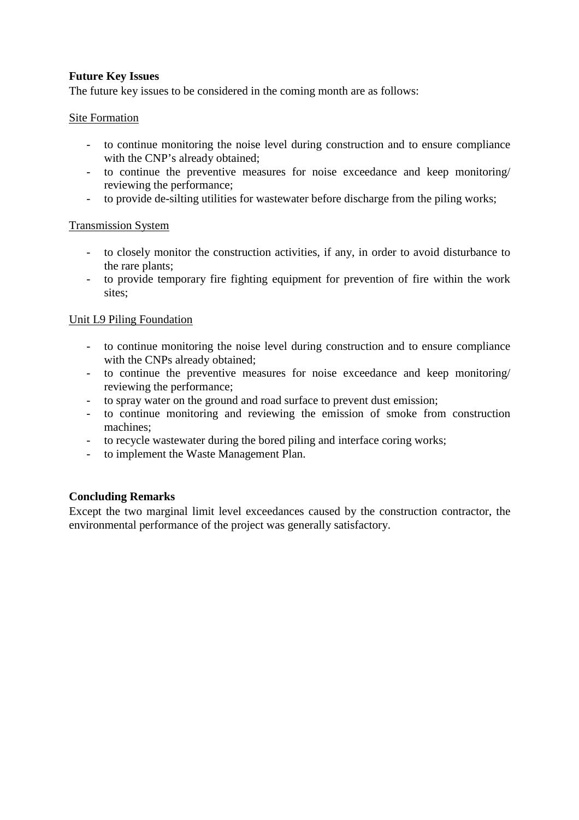### **Future Key Issues**

The future key issues to be considered in the coming month are as follows:

#### Site Formation

- to continue monitoring the noise level during construction and to ensure compliance with the CNP's already obtained;
- to continue the preventive measures for noise exceedance and keep monitoring/ reviewing the performance;
- to provide de-silting utilities for wastewater before discharge from the piling works;

#### Transmission System

- to closely monitor the construction activities, if any, in order to avoid disturbance to the rare plants;
- to provide temporary fire fighting equipment for prevention of fire within the work sites;

#### Unit L9 Piling Foundation

- to continue monitoring the noise level during construction and to ensure compliance with the CNPs already obtained;
- to continue the preventive measures for noise exceedance and keep monitoring/ reviewing the performance;
- to spray water on the ground and road surface to prevent dust emission;
- to continue monitoring and reviewing the emission of smoke from construction machines;
- to recycle wastewater during the bored piling and interface coring works;
- to implement the Waste Management Plan.

#### **Concluding Remarks**

Except the two marginal limit level exceedances caused by the construction contractor, the environmental performance of the project was generally satisfactory.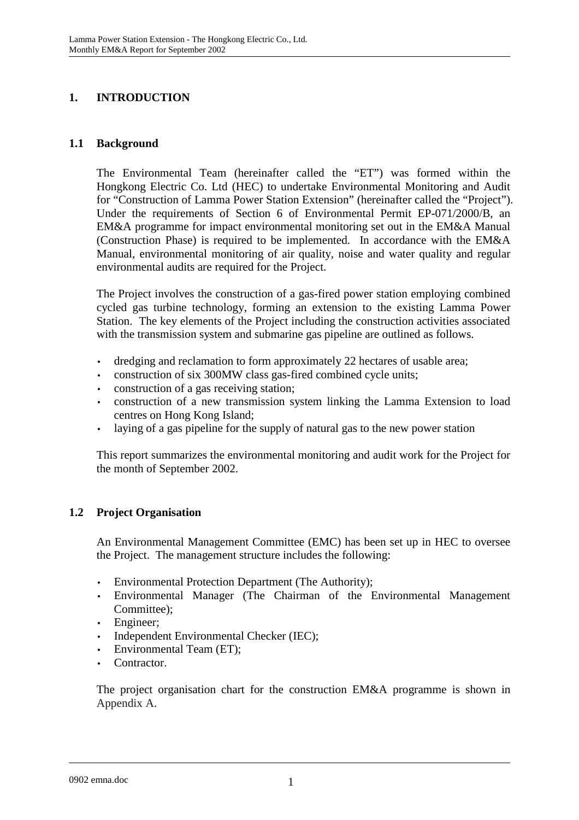### **1. INTRODUCTION**

### **1.1 Background**

The Environmental Team (hereinafter called the "ET") was formed within the Hongkong Electric Co. Ltd (HEC) to undertake Environmental Monitoring and Audit for "Construction of Lamma Power Station Extension" (hereinafter called the "Project"). Under the requirements of Section 6 of Environmental Permit EP-071/2000/B, an EM&A programme for impact environmental monitoring set out in the EM&A Manual (Construction Phase) is required to be implemented. In accordance with the EM&A Manual, environmental monitoring of air quality, noise and water quality and regular environmental audits are required for the Project.

The Project involves the construction of a gas-fired power station employing combined cycled gas turbine technology, forming an extension to the existing Lamma Power Station. The key elements of the Project including the construction activities associated with the transmission system and submarine gas pipeline are outlined as follows.

- dredging and reclamation to form approximately 22 hectares of usable area;
- construction of six 300MW class gas-fired combined cycle units;
- construction of a gas receiving station;
- construction of a new transmission system linking the Lamma Extension to load centres on Hong Kong Island;
- laying of a gas pipeline for the supply of natural gas to the new power station

This report summarizes the environmental monitoring and audit work for the Project for the month of September 2002.

### **1.2 Project Organisation**

An Environmental Management Committee (EMC) has been set up in HEC to oversee the Project. The management structure includes the following:

- Environmental Protection Department (The Authority);
- Environmental Manager (The Chairman of the Environmental Management Committee);
- Engineer;
- Independent Environmental Checker (IEC);
- Environmental Team (ET);
- Contractor.

The project organisation chart for the construction EM&A programme is shown in Appendix A.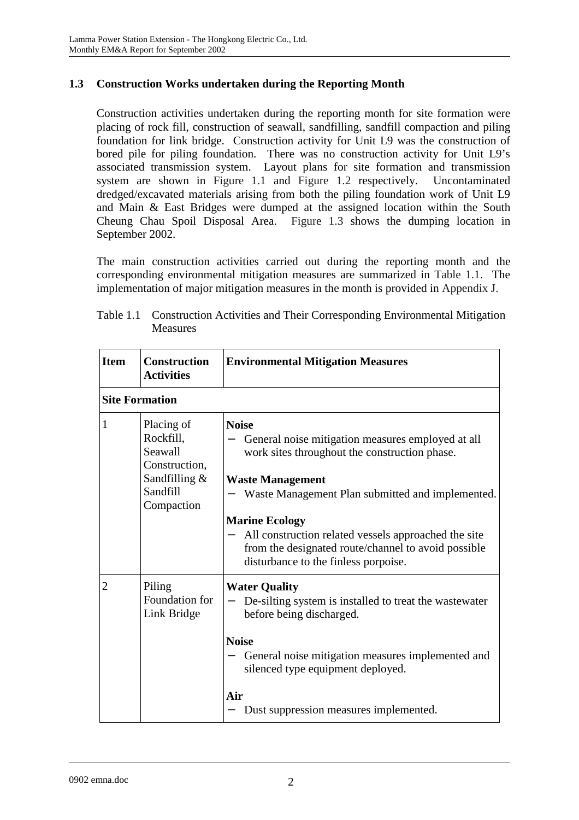### **1.3 Construction Works undertaken during the Reporting Month**

Construction activities undertaken during the reporting month for site formation were placing of rock fill, construction of seawall, sandfilling, sandfill compaction and piling foundation for link bridge. Construction activity for Unit L9 was the construction of bored pile for piling foundation. There was no construction activity for Unit L9's associated transmission system. Layout plans for site formation and transmission system are shown in Figure 1.1 and Figure 1.2 respectively. Uncontaminated dredged/excavated materials arising from both the piling foundation work of Unit L9 and Main & East Bridges were dumped at the assigned location within the South Cheung Chau Spoil Disposal Area. Figure 1.3 shows the dumping location in September 2002.

The main construction activities carried out during the reporting month and the corresponding environmental mitigation measures are summarized in Table 1.1. The implementation of major mitigation measures in the month is provided in Appendix J.

| <b>Item</b>           | <b>Construction</b><br><b>Activities</b>                                                          | <b>Environmental Mitigation Measures</b>                                                                                                                                                                                                                                                                                                                                          |
|-----------------------|---------------------------------------------------------------------------------------------------|-----------------------------------------------------------------------------------------------------------------------------------------------------------------------------------------------------------------------------------------------------------------------------------------------------------------------------------------------------------------------------------|
| <b>Site Formation</b> |                                                                                                   |                                                                                                                                                                                                                                                                                                                                                                                   |
| 1                     | Placing of<br>Rockfill,<br>Seawall<br>Construction,<br>Sandfilling $\&$<br>Sandfill<br>Compaction | <b>Noise</b><br>General noise mitigation measures employed at all<br>work sites throughout the construction phase.<br><b>Waste Management</b><br>Waste Management Plan submitted and implemented.<br><b>Marine Ecology</b><br>All construction related vessels approached the site<br>from the designated route/channel to avoid possible<br>disturbance to the finless porpoise. |
| $\overline{2}$        | Piling<br>Foundation for<br>Link Bridge                                                           | <b>Water Quality</b><br>De-silting system is installed to treat the wastewater<br>before being discharged.<br><b>Noise</b><br>General noise mitigation measures implemented and<br>silenced type equipment deployed.<br>Air<br>Dust suppression measures implemented.                                                                                                             |

| Table 1.1 Construction Activities and Their Corresponding Environmental Mitigation |
|------------------------------------------------------------------------------------|
| <b>Measures</b>                                                                    |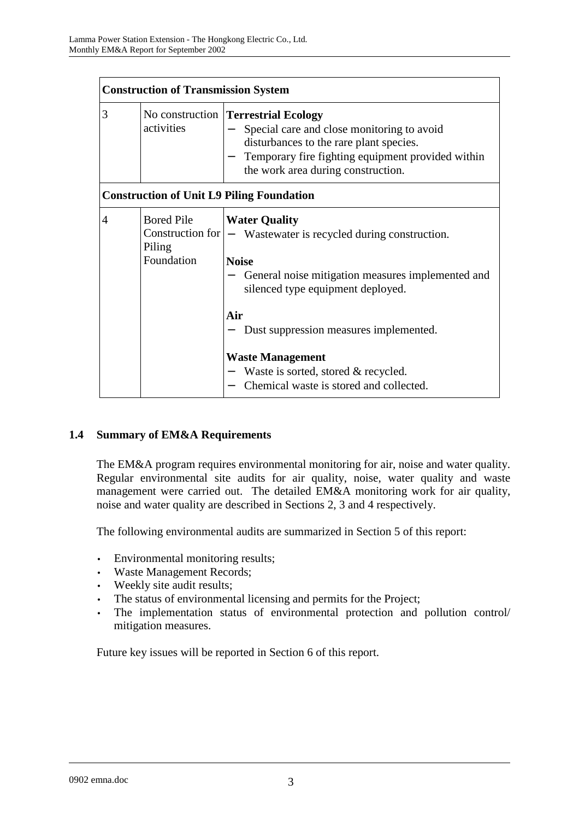|   | <b>Construction of Transmission System</b> |                                                                                                                                                                                                                           |  |
|---|--------------------------------------------|---------------------------------------------------------------------------------------------------------------------------------------------------------------------------------------------------------------------------|--|
| 3 | activities                                 | No construction   Terrestrial Ecology<br>Special care and close monitoring to avoid<br>disturbances to the rare plant species.<br>Temporary fire fighting equipment provided within<br>the work area during construction. |  |
|   |                                            | <b>Construction of Unit L9 Piling Foundation</b>                                                                                                                                                                          |  |
| 4 | <b>Bored Pile</b><br>Piling<br>Foundation  | <b>Water Quality</b><br>Construction for $ -$ Wastewater is recycled during construction.<br><b>Noise</b><br>General noise mitigation measures implemented and<br>silenced type equipment deployed.<br>Air                |  |
|   |                                            | Dust suppression measures implemented.<br><b>Waste Management</b><br>Waste is sorted, stored & recycled.<br>Chemical waste is stored and collected.                                                                       |  |

### **1.4 Summary of EM&A Requirements**

The EM&A program requires environmental monitoring for air, noise and water quality. Regular environmental site audits for air quality, noise, water quality and waste management were carried out. The detailed EM&A monitoring work for air quality, noise and water quality are described in Sections 2, 3 and 4 respectively.

The following environmental audits are summarized in Section 5 of this report:

- Environmental monitoring results;
- Waste Management Records;
- Weekly site audit results;
- The status of environmental licensing and permits for the Project;
- The implementation status of environmental protection and pollution control/ mitigation measures.

Future key issues will be reported in Section 6 of this report.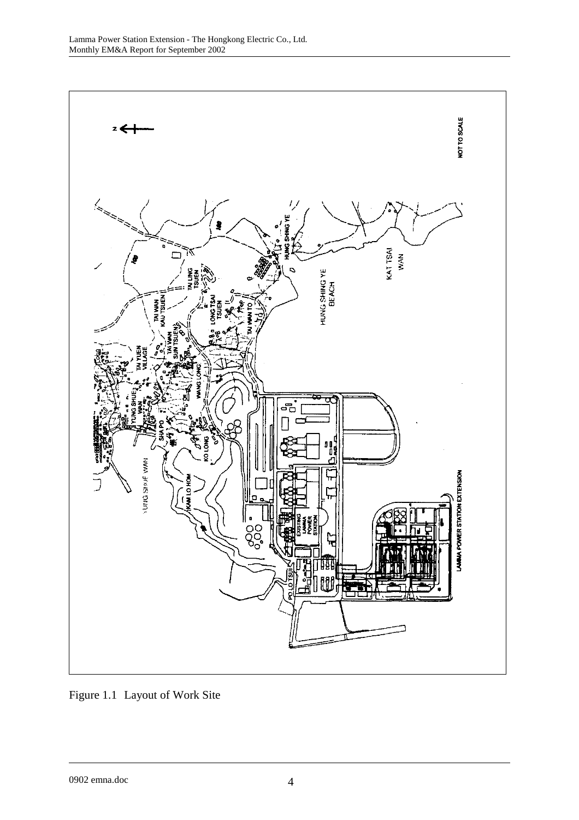

Figure 1.1 Layout of Work Site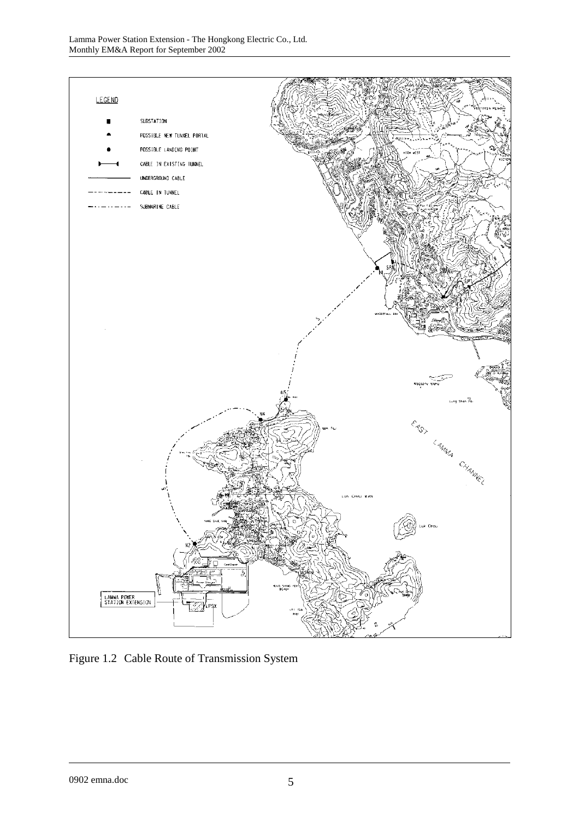

Figure 1.2 Cable Route of Transmission System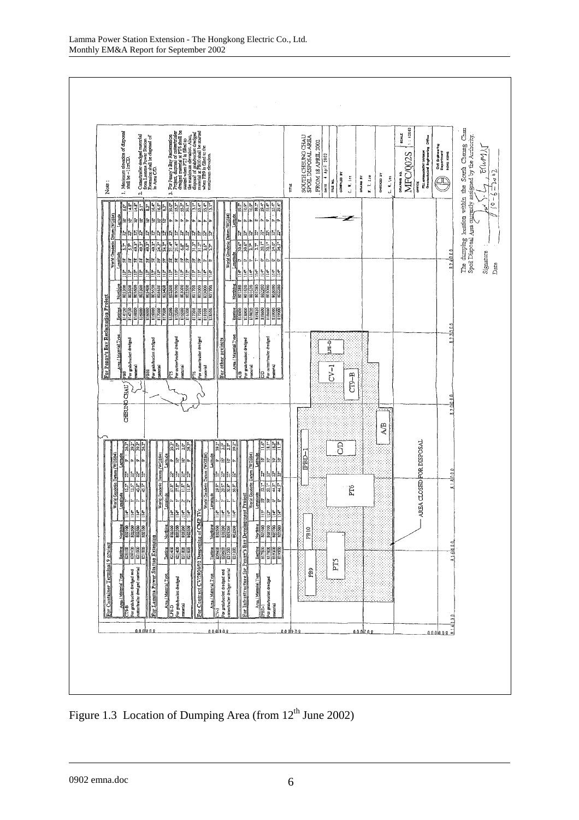

Figure 1.3 Location of Dumping Area (from  $12<sup>th</sup>$  June 2002)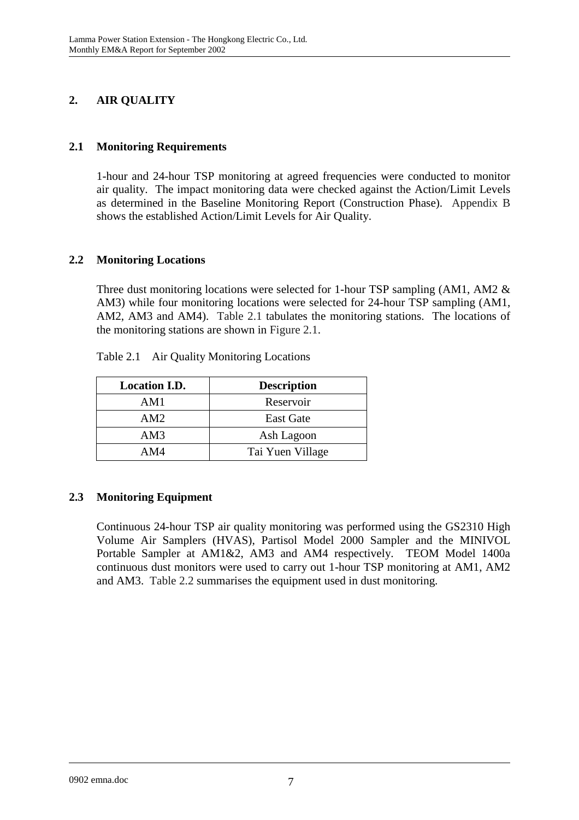# **2. AIR QUALITY**

### **2.1 Monitoring Requirements**

1-hour and 24-hour TSP monitoring at agreed frequencies were conducted to monitor air quality. The impact monitoring data were checked against the Action/Limit Levels as determined in the Baseline Monitoring Report (Construction Phase). Appendix B shows the established Action/Limit Levels for Air Quality.

### **2.2 Monitoring Locations**

Three dust monitoring locations were selected for 1-hour TSP sampling (AM1, AM2 & AM3) while four monitoring locations were selected for 24-hour TSP sampling (AM1, AM2, AM3 and AM4). Table 2.1 tabulates the monitoring stations. The locations of the monitoring stations are shown in Figure 2.1.

| <b>Location I.D.</b> | <b>Description</b> |
|----------------------|--------------------|
| AM1                  | Reservoir          |
| AM2                  | <b>East Gate</b>   |
| AM3                  | Ash Lagoon         |
| AM4                  | Tai Yuen Village   |

Table 2.1 Air Quality Monitoring Locations

### **2.3 Monitoring Equipment**

Continuous 24-hour TSP air quality monitoring was performed using the GS2310 High Volume Air Samplers (HVAS), Partisol Model 2000 Sampler and the MINIVOL Portable Sampler at AM1&2, AM3 and AM4 respectively. TEOM Model 1400a continuous dust monitors were used to carry out 1-hour TSP monitoring at AM1, AM2 and AM3. Table 2.2 summarises the equipment used in dust monitoring.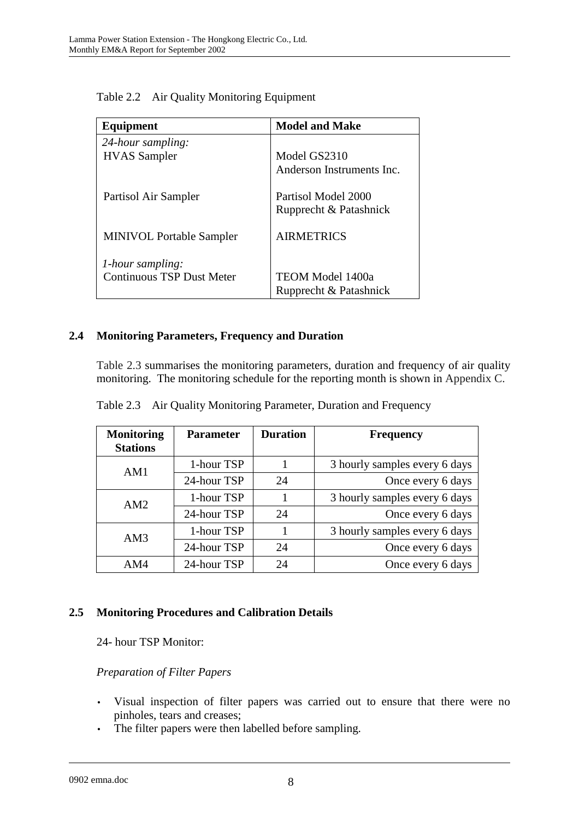| Equipment                        | <b>Model and Make</b>                         |
|----------------------------------|-----------------------------------------------|
| 24-hour sampling:                |                                               |
| <b>HVAS</b> Sampler              | Model GS2310                                  |
|                                  | Anderson Instruments Inc.                     |
| Partisol Air Sampler             | Partisol Model 2000<br>Rupprecht & Patashnick |
| <b>MINIVOL Portable Sampler</b>  | <b>AIRMETRICS</b>                             |
| <i>l</i> -hour sampling:         |                                               |
| <b>Continuous TSP Dust Meter</b> | <b>TEOM Model 1400a</b>                       |
|                                  | Rupprecht & Patashnick                        |

Table 2.2 Air Quality Monitoring Equipment

### **2.4 Monitoring Parameters, Frequency and Duration**

Table 2.3 summarises the monitoring parameters, duration and frequency of air quality monitoring. The monitoring schedule for the reporting month is shown in Appendix C.

| <b>Monitoring</b><br><b>Stations</b> | <b>Parameter</b> | <b>Duration</b> | <b>Frequency</b>              |
|--------------------------------------|------------------|-----------------|-------------------------------|
| AM1                                  | 1-hour TSP       |                 | 3 hourly samples every 6 days |
|                                      | 24-hour TSP      | 24              | Once every 6 days             |
| AM2                                  | 1-hour TSP       |                 | 3 hourly samples every 6 days |
|                                      | 24-hour TSP      | 24              | Once every 6 days             |
| AM3                                  | 1-hour TSP       |                 | 3 hourly samples every 6 days |
|                                      | 24-hour TSP      | 24              | Once every 6 days             |
| AM4                                  | 24-hour TSP      | 24              | Once every 6 days             |

Table 2.3 Air Quality Monitoring Parameter, Duration and Frequency

### **2.5 Monitoring Procedures and Calibration Details**

24- hour TSP Monitor:

### *Preparation of Filter Papers*

- Visual inspection of filter papers was carried out to ensure that there were no pinholes, tears and creases;
- The filter papers were then labelled before sampling.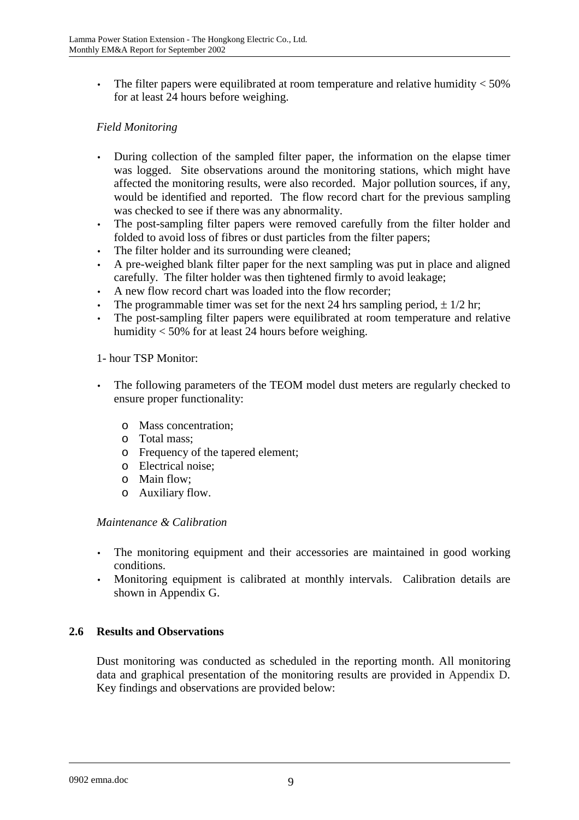The filter papers were equilibrated at room temperature and relative humidity  $<$  50% for at least 24 hours before weighing.

### *Field Monitoring*

- During collection of the sampled filter paper, the information on the elapse timer was logged. Site observations around the monitoring stations, which might have affected the monitoring results, were also recorded. Major pollution sources, if any, would be identified and reported. The flow record chart for the previous sampling was checked to see if there was any abnormality.
- The post-sampling filter papers were removed carefully from the filter holder and folded to avoid loss of fibres or dust particles from the filter papers;
- The filter holder and its surrounding were cleaned;
- A pre-weighed blank filter paper for the next sampling was put in place and aligned carefully. The filter holder was then tightened firmly to avoid leakage;
- A new flow record chart was loaded into the flow recorder;
- The programmable timer was set for the next 24 hrs sampling period,  $\pm 1/2$  hr;
- The post-sampling filter papers were equilibrated at room temperature and relative humidity < 50% for at least 24 hours before weighing.

#### 1- hour TSP Monitor:

- The following parameters of the TEOM model dust meters are regularly checked to ensure proper functionality:
	- o Mass concentration;
	- o Total mass;
	- o Frequency of the tapered element;
	- o Electrical noise;
	- o Main flow;
	- o Auxiliary flow.

#### *Maintenance & Calibration*

- The monitoring equipment and their accessories are maintained in good working conditions.
- Monitoring equipment is calibrated at monthly intervals. Calibration details are shown in Appendix G.

### **2.6 Results and Observations**

Dust monitoring was conducted as scheduled in the reporting month. All monitoring data and graphical presentation of the monitoring results are provided in Appendix D. Key findings and observations are provided below: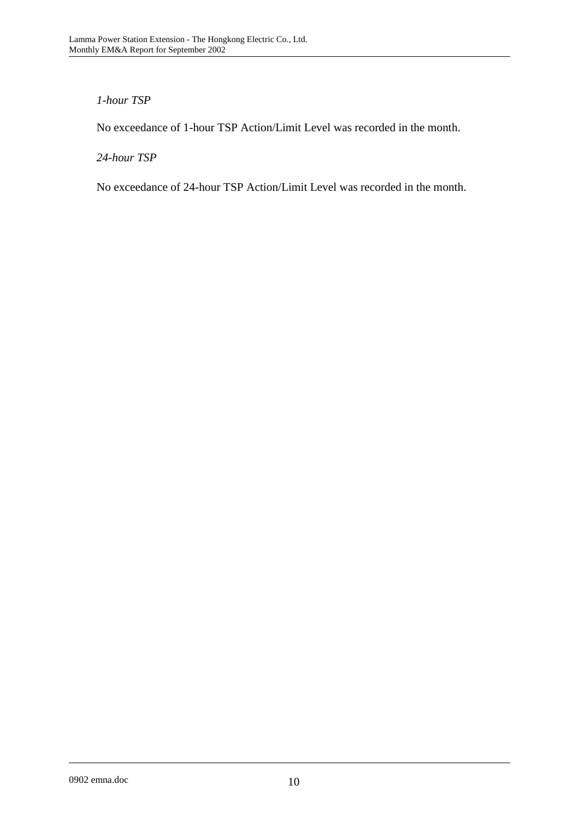### *1-hour TSP*

No exceedance of 1-hour TSP Action/Limit Level was recorded in the month.

*24-hour TSP* 

No exceedance of 24-hour TSP Action/Limit Level was recorded in the month.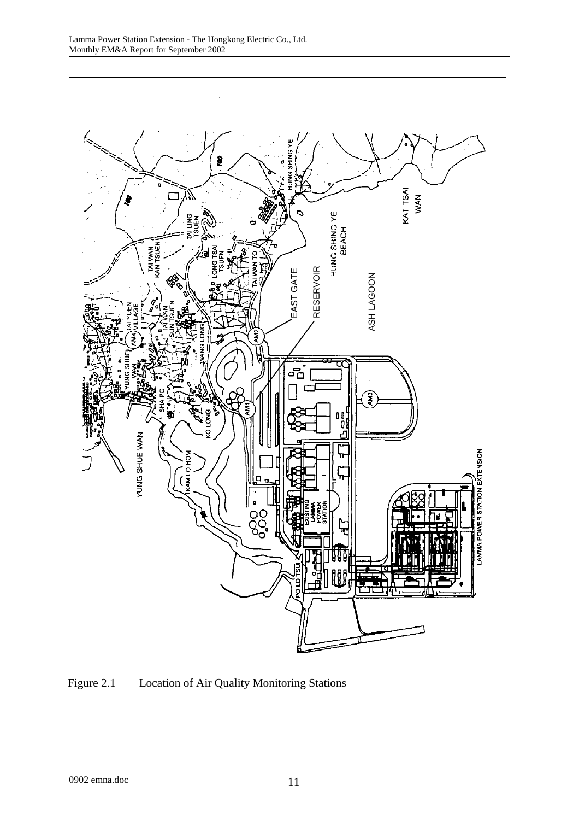

Figure 2.1 Location of Air Quality Monitoring Stations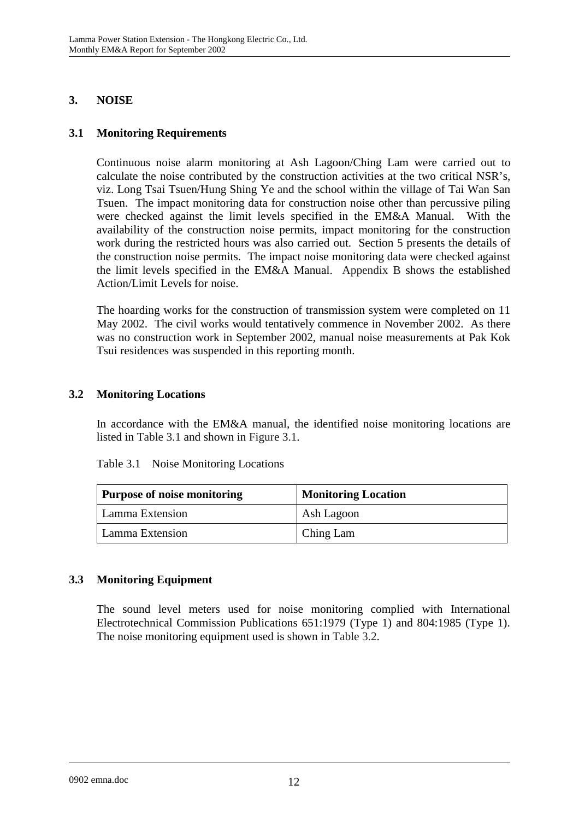### **3. NOISE**

### **3.1 Monitoring Requirements**

Continuous noise alarm monitoring at Ash Lagoon/Ching Lam were carried out to calculate the noise contributed by the construction activities at the two critical NSR's, viz. Long Tsai Tsuen/Hung Shing Ye and the school within the village of Tai Wan San Tsuen. The impact monitoring data for construction noise other than percussive piling were checked against the limit levels specified in the EM&A Manual. With the availability of the construction noise permits, impact monitoring for the construction work during the restricted hours was also carried out. Section 5 presents the details of the construction noise permits. The impact noise monitoring data were checked against the limit levels specified in the EM&A Manual. Appendix B shows the established Action/Limit Levels for noise.

The hoarding works for the construction of transmission system were completed on 11 May 2002. The civil works would tentatively commence in November 2002. As there was no construction work in September 2002, manual noise measurements at Pak Kok Tsui residences was suspended in this reporting month.

### **3.2 Monitoring Locations**

In accordance with the EM&A manual, the identified noise monitoring locations are listed in Table 3.1 and shown in Figure 3.1.

| Table 3.1 | Noise Monitoring Locations |  |
|-----------|----------------------------|--|
|-----------|----------------------------|--|

| <b>Purpose of noise monitoring</b> | <b>Monitoring Location</b> |  |
|------------------------------------|----------------------------|--|
| Lamma Extension                    | Ash Lagoon                 |  |
| Lamma Extension                    | Ching Lam                  |  |

### **3.3 Monitoring Equipment**

The sound level meters used for noise monitoring complied with International Electrotechnical Commission Publications 651:1979 (Type 1) and 804:1985 (Type 1). The noise monitoring equipment used is shown in Table 3.2.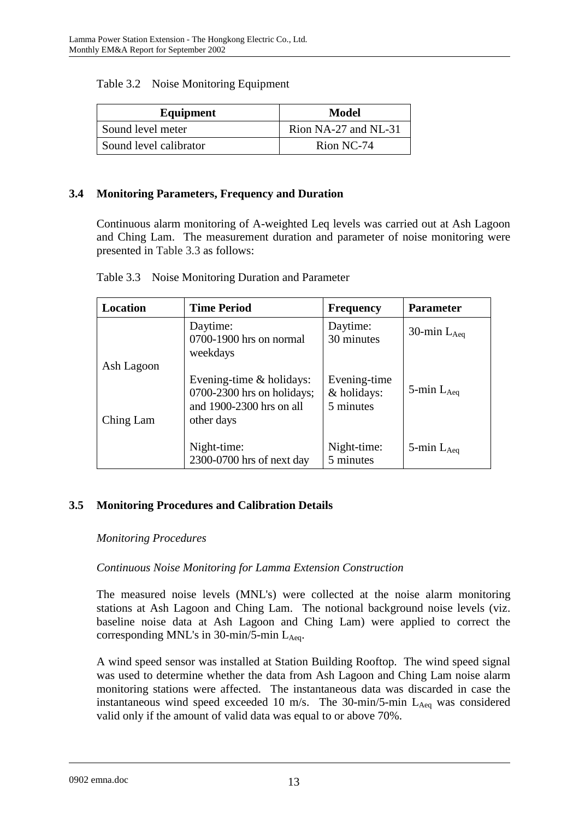| Equipment              | Model                |  |
|------------------------|----------------------|--|
| Sound level meter      | Rion NA-27 and NL-31 |  |
| Sound level calibrator | Rion NC-74           |  |

#### **3.4 Monitoring Parameters, Frequency and Duration**

Continuous alarm monitoring of A-weighted Leq levels was carried out at Ash Lagoon and Ching Lam. The measurement duration and parameter of noise monitoring were presented in Table 3.3 as follows:

| Location                | <b>Time Period</b>                                                                                   | <b>Frequency</b>                         | <b>Parameter</b>   |
|-------------------------|------------------------------------------------------------------------------------------------------|------------------------------------------|--------------------|
|                         | Daytime:<br>0700-1900 hrs on normal<br>weekdays                                                      | Daytime:<br>30 minutes                   | 30-min $L_{Aea}$   |
| Ash Lagoon<br>Ching Lam | Evening-time $&$ holidays:<br>$0700-2300$ hrs on holidays;<br>and 1900-2300 hrs on all<br>other days | Evening-time<br>& holidays:<br>5 minutes | 5-min $L_{Aeq}$    |
|                         | Night-time:<br>2300-0700 hrs of next day                                                             | Night-time:<br>5 minutes                 | $5$ -min $L_{Aeq}$ |

### **3.5 Monitoring Procedures and Calibration Details**

#### *Monitoring Procedures*

### *Continuous Noise Monitoring for Lamma Extension Construction*

The measured noise levels (MNL's) were collected at the noise alarm monitoring stations at Ash Lagoon and Ching Lam. The notional background noise levels (viz. baseline noise data at Ash Lagoon and Ching Lam) were applied to correct the corresponding MNL's in 30-min/5-min  $L_{Aea}$ .

A wind speed sensor was installed at Station Building Rooftop. The wind speed signal was used to determine whether the data from Ash Lagoon and Ching Lam noise alarm monitoring stations were affected. The instantaneous data was discarded in case the instantaneous wind speed exceeded 10 m/s. The 30-min/5-min  $L_{Aeq}$  was considered valid only if the amount of valid data was equal to or above 70%.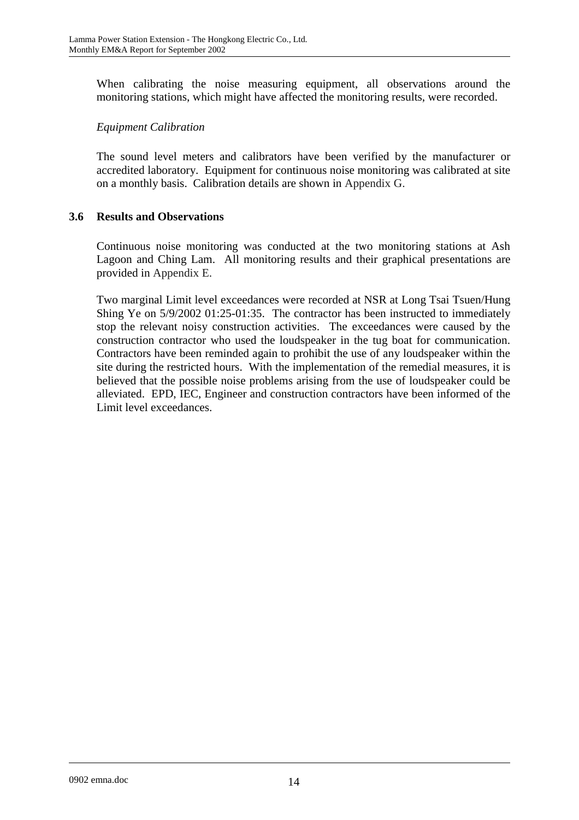When calibrating the noise measuring equipment, all observations around the monitoring stations, which might have affected the monitoring results, were recorded.

#### *Equipment Calibration*

The sound level meters and calibrators have been verified by the manufacturer or accredited laboratory. Equipment for continuous noise monitoring was calibrated at site on a monthly basis. Calibration details are shown in Appendix G.

#### **3.6 Results and Observations**

Continuous noise monitoring was conducted at the two monitoring stations at Ash Lagoon and Ching Lam. All monitoring results and their graphical presentations are provided in Appendix E.

Two marginal Limit level exceedances were recorded at NSR at Long Tsai Tsuen/Hung Shing Ye on 5/9/2002 01:25-01:35. The contractor has been instructed to immediately stop the relevant noisy construction activities. The exceedances were caused by the construction contractor who used the loudspeaker in the tug boat for communication. Contractors have been reminded again to prohibit the use of any loudspeaker within the site during the restricted hours. With the implementation of the remedial measures, it is believed that the possible noise problems arising from the use of loudspeaker could be alleviated. EPD, IEC, Engineer and construction contractors have been informed of the Limit level exceedances.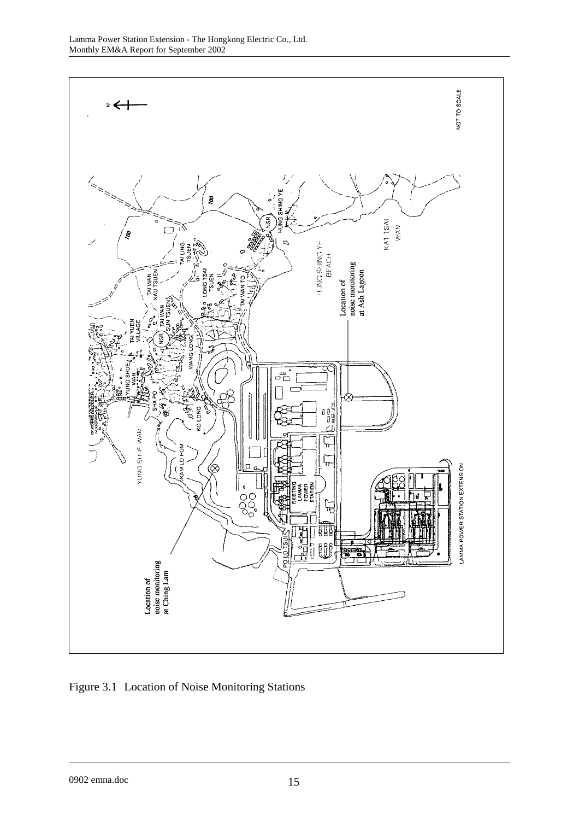

Figure 3.1 Location of Noise Monitoring Stations

0902 emna.doc 15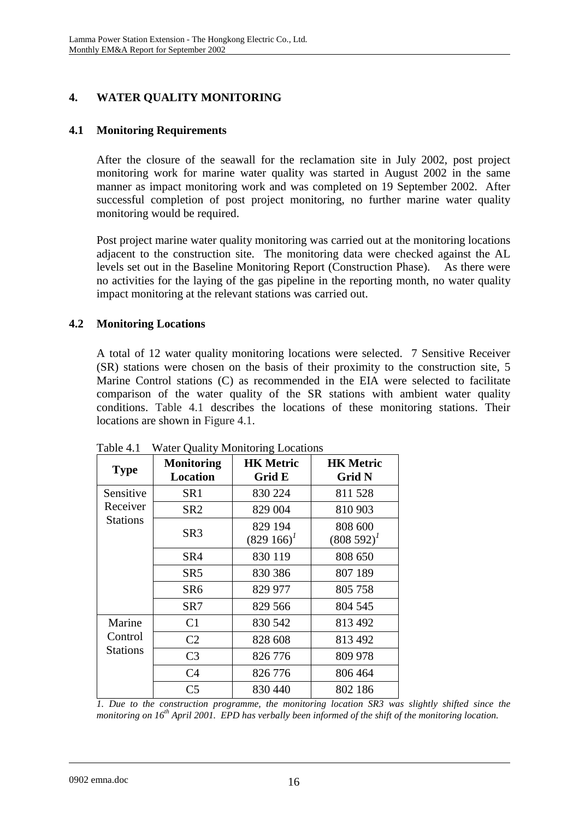# **4. WATER QUALITY MONITORING**

### **4.1 Monitoring Requirements**

After the closure of the seawall for the reclamation site in July 2002, post project monitoring work for marine water quality was started in August 2002 in the same manner as impact monitoring work and was completed on 19 September 2002. After successful completion of post project monitoring, no further marine water quality monitoring would be required.

Post project marine water quality monitoring was carried out at the monitoring locations adjacent to the construction site. The monitoring data were checked against the AL levels set out in the Baseline Monitoring Report (Construction Phase). As there were no activities for the laying of the gas pipeline in the reporting month, no water quality impact monitoring at the relevant stations was carried out.

### **4.2 Monitoring Locations**

A total of 12 water quality monitoring locations were selected. 7 Sensitive Receiver (SR) stations were chosen on the basis of their proximity to the construction site, 5 Marine Control stations (C) as recommended in the EIA were selected to facilitate comparison of the water quality of the SR stations with ambient water quality conditions. Table 4.1 describes the locations of these monitoring stations. Their locations are shown in Figure 4.1.

| <b>Type</b>     | <b>Monitoring</b><br><b>Location</b> | <b>HK Metric</b><br>Grid E  | <b>HK Metric</b><br><b>Grid N</b> |
|-----------------|--------------------------------------|-----------------------------|-----------------------------------|
| Sensitive       | SR1                                  | 830 224                     | 811 528                           |
| Receiver        | SR <sub>2</sub>                      | 829 004                     | 810 903                           |
| <b>Stations</b> | SR <sub>3</sub>                      | 829 194<br>$(829\;166)^{1}$ | 808 600<br>$(808592)^{1}$         |
|                 | SR4                                  | 830 119                     | 808 650                           |
|                 | SR5                                  | 830 386                     | 807 189                           |
|                 | SR <sub>6</sub>                      | 829 977                     | 805 758                           |
|                 | SR7                                  | 829 566                     | 804 545                           |
| Marine          | C1                                   | 830 542                     | 813 492                           |
| Control         | C <sub>2</sub>                       | 828 608                     | 813 492                           |
| <b>Stations</b> | C <sub>3</sub>                       | 826 776                     | 809 978                           |
|                 | C <sub>4</sub>                       | 826 776                     | 806 464                           |
|                 | C <sub>5</sub>                       | 830 440                     | 802 186                           |

Table 4.1 Water Quality Monitoring Locations

*1. Due to the construction programme, the monitoring location SR3 was slightly shifted since the monitoring on 16th April 2001. EPD has verbally been informed of the shift of the monitoring location.*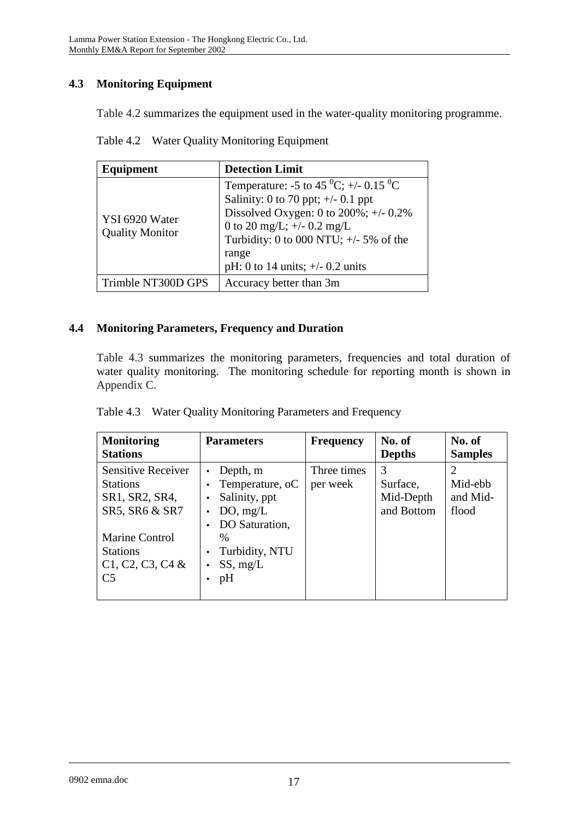# **4.3 Monitoring Equipment**

Table 4.2 summarizes the equipment used in the water-quality monitoring programme.

Table 4.2 Water Quality Monitoring Equipment

| Equipment                                | <b>Detection Limit</b>                                                                                                                                                                                                                                                           |
|------------------------------------------|----------------------------------------------------------------------------------------------------------------------------------------------------------------------------------------------------------------------------------------------------------------------------------|
| YSI 6920 Water<br><b>Quality Monitor</b> | Temperature: -5 to 45 <sup>0</sup> C; +/- 0.15 <sup>0</sup> C<br>Salinity: 0 to 70 ppt; $\pm$ /- 0.1 ppt<br>Dissolved Oxygen: 0 to $200\%$ ; +/- 0.2%<br>0 to 20 mg/L; $+/-$ 0.2 mg/L<br>Turbidity: 0 to 000 NTU; $+/-$ 5% of the<br>range<br>pH: 0 to 14 units; $+/- 0.2$ units |
| Trimble NT300D GPS                       | Accuracy better than 3m                                                                                                                                                                                                                                                          |

### **4.4 Monitoring Parameters, Frequency and Duration**

Table 4.3 summarizes the monitoring parameters, frequencies and total duration of water quality monitoring. The monitoring schedule for reporting month is shown in Appendix C.

| <b>Monitoring</b><br><b>Stations</b>                                                                                                                          | <b>Parameters</b>                                                                                                                            | <b>Frequency</b>        | No. of<br><b>Depths</b>                  | No. of<br><b>Samples</b>     |
|---------------------------------------------------------------------------------------------------------------------------------------------------------------|----------------------------------------------------------------------------------------------------------------------------------------------|-------------------------|------------------------------------------|------------------------------|
| <b>Sensitive Receiver</b><br><b>Stations</b><br>SR1, SR2, SR4,<br>SR5, SR6 & SR7<br>Marine Control<br><b>Stations</b><br>$C1, C2, C3, C4$ &<br>C <sub>5</sub> | Depth, m<br>Temperature, oC<br>Salinity, ppt<br>DO, mg/L<br>DO Saturation,<br>$\frac{0}{0}$<br>Turbidity, NTU<br>SS, mg/L<br>$\bullet$<br>pH | Three times<br>per week | 3<br>Surface,<br>Mid-Depth<br>and Bottom | Mid-ebb<br>and Mid-<br>flood |

| Table 4.3 Water Quality Monitoring Parameters and Frequency |  |  |
|-------------------------------------------------------------|--|--|
|                                                             |  |  |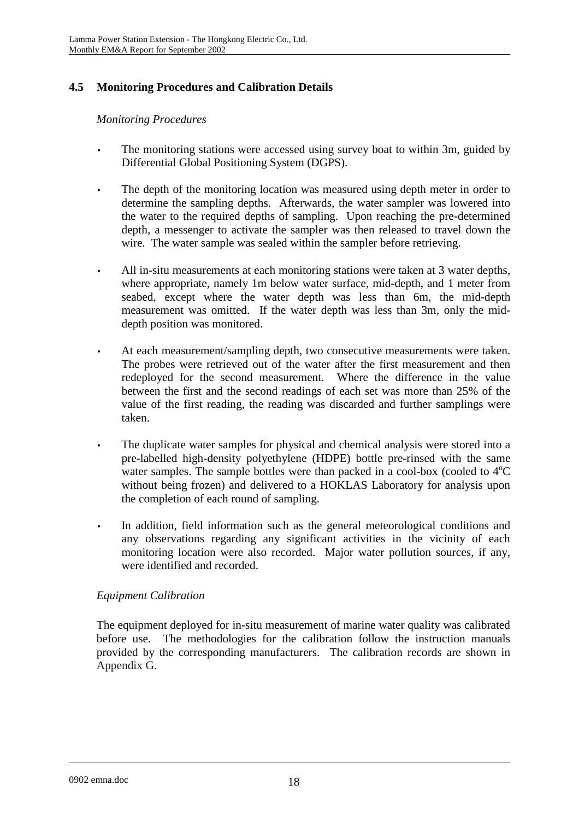# **4.5 Monitoring Procedures and Calibration Details**

### *Monitoring Procedures*

- The monitoring stations were accessed using survey boat to within 3m, guided by Differential Global Positioning System (DGPS).
- The depth of the monitoring location was measured using depth meter in order to determine the sampling depths. Afterwards, the water sampler was lowered into the water to the required depths of sampling. Upon reaching the pre-determined depth, a messenger to activate the sampler was then released to travel down the wire. The water sample was sealed within the sampler before retrieving.
- All in-situ measurements at each monitoring stations were taken at 3 water depths, where appropriate, namely 1m below water surface, mid-depth, and 1 meter from seabed, except where the water depth was less than 6m, the mid-depth measurement was omitted. If the water depth was less than 3m, only the middepth position was monitored.
- At each measurement/sampling depth, two consecutive measurements were taken. The probes were retrieved out of the water after the first measurement and then redeployed for the second measurement. Where the difference in the value between the first and the second readings of each set was more than 25% of the value of the first reading, the reading was discarded and further samplings were taken.
- The duplicate water samples for physical and chemical analysis were stored into a pre-labelled high-density polyethylene (HDPE) bottle pre-rinsed with the same water samples. The sample bottles were than packed in a cool-box (cooled to  $4^{\circ}C$ without being frozen) and delivered to a HOKLAS Laboratory for analysis upon the completion of each round of sampling.
- In addition, field information such as the general meteorological conditions and any observations regarding any significant activities in the vicinity of each monitoring location were also recorded. Major water pollution sources, if any, were identified and recorded.

### *Equipment Calibration*

The equipment deployed for in-situ measurement of marine water quality was calibrated before use. The methodologies for the calibration follow the instruction manuals provided by the corresponding manufacturers. The calibration records are shown in Appendix G.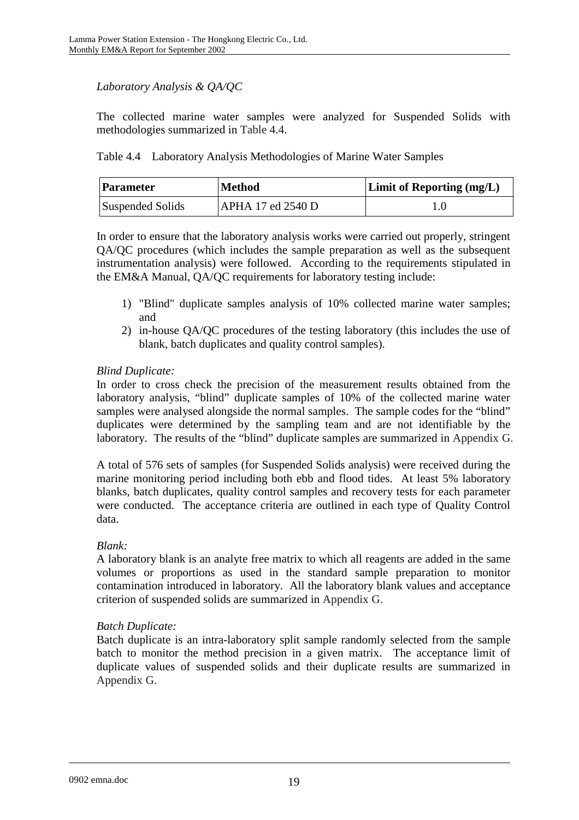### *Laboratory Analysis & QA/QC*

The collected marine water samples were analyzed for Suspended Solids with methodologies summarized in Table 4.4.

Table 4.4 Laboratory Analysis Methodologies of Marine Water Samples

| <b>Method</b><br><b>Parameter</b> |                   | <b>Limit of Reporting (mg/L)</b> |
|-----------------------------------|-------------------|----------------------------------|
| Suspended Solids                  | APHA 17 ed 2540 D |                                  |

In order to ensure that the laboratory analysis works were carried out properly, stringent QA/QC procedures (which includes the sample preparation as well as the subsequent instrumentation analysis) were followed. According to the requirements stipulated in the EM&A Manual, QA/QC requirements for laboratory testing include:

- 1) "Blind" duplicate samples analysis of 10% collected marine water samples; and
- 2) in-house QA/QC procedures of the testing laboratory (this includes the use of blank, batch duplicates and quality control samples).

### *Blind Duplicate:*

In order to cross check the precision of the measurement results obtained from the laboratory analysis, "blind" duplicate samples of 10% of the collected marine water samples were analysed alongside the normal samples. The sample codes for the "blind" duplicates were determined by the sampling team and are not identifiable by the laboratory. The results of the "blind" duplicate samples are summarized in Appendix G.

A total of 576 sets of samples (for Suspended Solids analysis) were received during the marine monitoring period including both ebb and flood tides. At least 5% laboratory blanks, batch duplicates, quality control samples and recovery tests for each parameter were conducted. The acceptance criteria are outlined in each type of Quality Control data.

### *Blank:*

A laboratory blank is an analyte free matrix to which all reagents are added in the same volumes or proportions as used in the standard sample preparation to monitor contamination introduced in laboratory. All the laboratory blank values and acceptance criterion of suspended solids are summarized in Appendix G.

### *Batch Duplicate:*

Batch duplicate is an intra-laboratory split sample randomly selected from the sample batch to monitor the method precision in a given matrix. The acceptance limit of duplicate values of suspended solids and their duplicate results are summarized in Appendix G.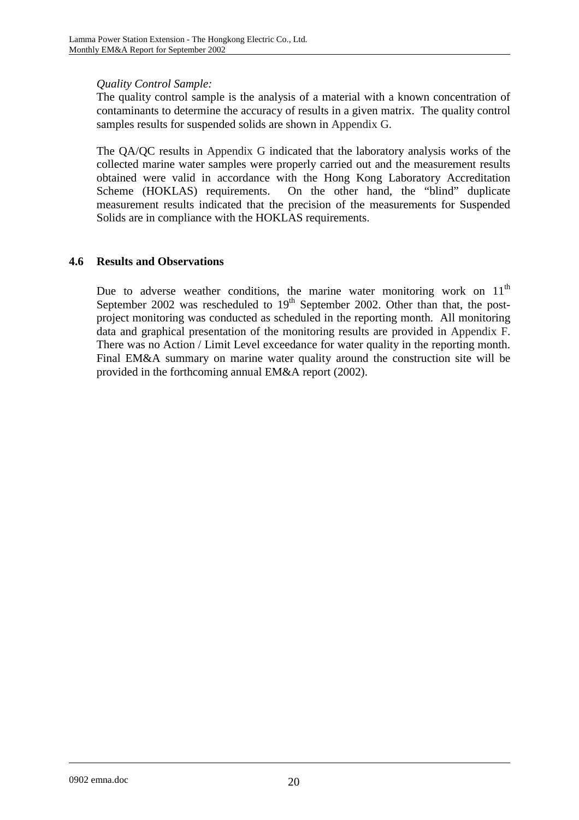### *Quality Control Sample:*

The quality control sample is the analysis of a material with a known concentration of contaminants to determine the accuracy of results in a given matrix. The quality control samples results for suspended solids are shown in Appendix G.

The QA/QC results in Appendix G indicated that the laboratory analysis works of the collected marine water samples were properly carried out and the measurement results obtained were valid in accordance with the Hong Kong Laboratory Accreditation Scheme (HOKLAS) requirements. On the other hand, the "blind" duplicate measurement results indicated that the precision of the measurements for Suspended Solids are in compliance with the HOKLAS requirements.

### **4.6 Results and Observations**

Due to adverse weather conditions, the marine water monitoring work on  $11<sup>th</sup>$ September 2002 was rescheduled to  $19<sup>th</sup>$  September 2002. Other than that, the postproject monitoring was conducted as scheduled in the reporting month. All monitoring data and graphical presentation of the monitoring results are provided in Appendix F. There was no Action / Limit Level exceedance for water quality in the reporting month. Final EM&A summary on marine water quality around the construction site will be provided in the forthcoming annual EM&A report (2002).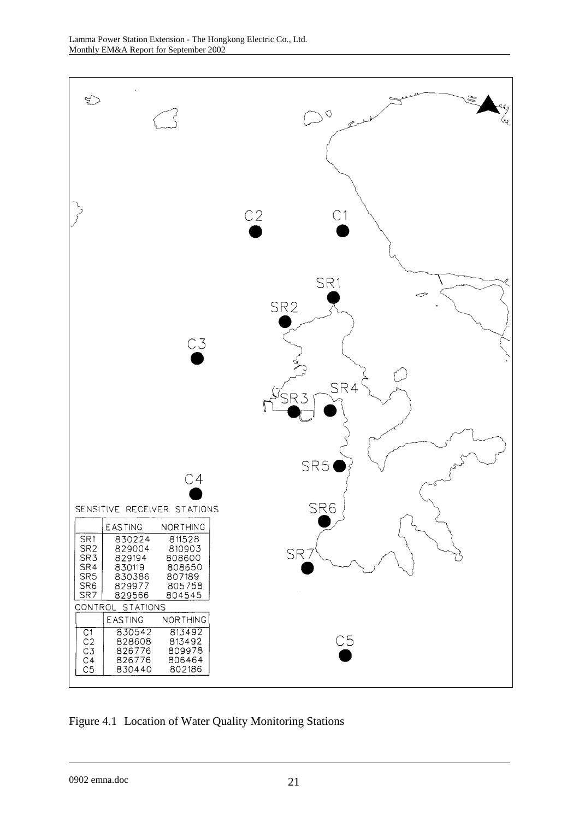

Figure 4.1 Location of Water Quality Monitoring Stations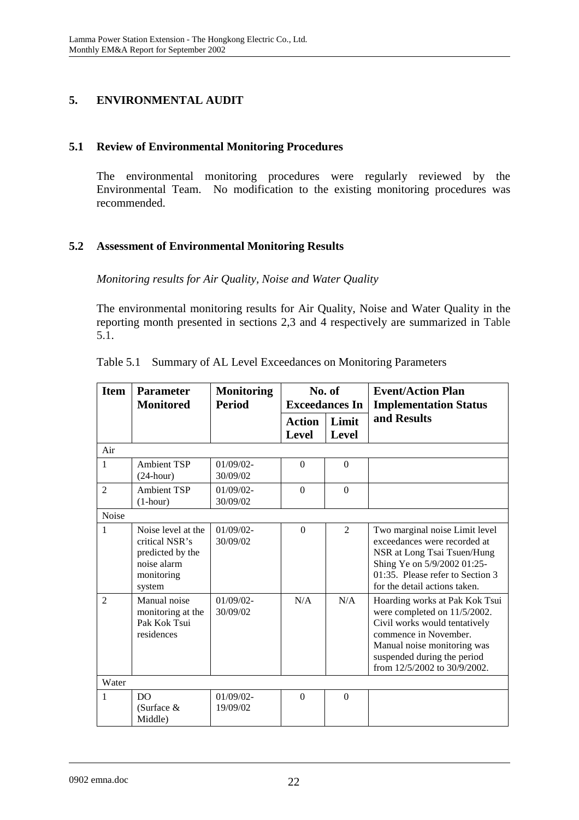# **5. ENVIRONMENTAL AUDIT**

### **5.1 Review of Environmental Monitoring Procedures**

The environmental monitoring procedures were regularly reviewed by the Environmental Team. No modification to the existing monitoring procedures was recommended.

### **5.2 Assessment of Environmental Monitoring Results**

*Monitoring results for Air Quality, Noise and Water Quality* 

The environmental monitoring results for Air Quality, Noise and Water Quality in the reporting month presented in sections 2,3 and 4 respectively are summarized in Table 5.1.

| <b>Item</b>    | <b>Parameter</b><br><b>Monitored</b>                                                            | <b>Monitoring</b><br><b>Period</b> | No. of<br><b>Exceedances In</b> |                       | <b>Event/Action Plan</b><br><b>Implementation Status</b>                                                                                                                                                               |
|----------------|-------------------------------------------------------------------------------------------------|------------------------------------|---------------------------------|-----------------------|------------------------------------------------------------------------------------------------------------------------------------------------------------------------------------------------------------------------|
|                |                                                                                                 |                                    | <b>Action</b><br><b>Level</b>   | Limit<br><b>Level</b> | and Results                                                                                                                                                                                                            |
| Air            |                                                                                                 |                                    |                                 |                       |                                                                                                                                                                                                                        |
| 1              | <b>Ambient TSP</b><br>$(24$ -hour)                                                              | $01/09/02$ -<br>30/09/02           | $\Omega$                        | $\Omega$              |                                                                                                                                                                                                                        |
| $\overline{2}$ | <b>Ambient TSP</b><br>$(1-hour)$                                                                | $01/09/02$ -<br>30/09/02           | $\Omega$                        | $\Omega$              |                                                                                                                                                                                                                        |
| Noise          |                                                                                                 |                                    |                                 |                       |                                                                                                                                                                                                                        |
| 1              | Noise level at the<br>critical NSR's<br>predicted by the<br>noise alarm<br>monitoring<br>system | $01/09/02$ -<br>30/09/02           | $\Omega$                        | $\overline{2}$        | Two marginal noise Limit level<br>exceedances were recorded at<br>NSR at Long Tsai Tsuen/Hung<br>Shing Ye on 5/9/2002 01:25-<br>01:35. Please refer to Section 3<br>for the detail actions taken.                      |
| $\mathfrak{D}$ | Manual noise<br>monitoring at the<br>Pak Kok Tsui<br>residences                                 | $01/09/02$ -<br>30/09/02           | N/A                             | N/A                   | Hoarding works at Pak Kok Tsui<br>were completed on 11/5/2002.<br>Civil works would tentatively<br>commence in November.<br>Manual noise monitoring was<br>suspended during the period<br>from 12/5/2002 to 30/9/2002. |
| Water          |                                                                                                 |                                    |                                 |                       |                                                                                                                                                                                                                        |
| 1              | DO<br>(Surface $&$<br>Middle)                                                                   | $01/09/02$ -<br>19/09/02           | $\Omega$                        | $\Omega$              |                                                                                                                                                                                                                        |

|  |  |  |  | Table 5.1 Summary of AL Level Exceedances on Monitoring Parameters |
|--|--|--|--|--------------------------------------------------------------------|
|--|--|--|--|--------------------------------------------------------------------|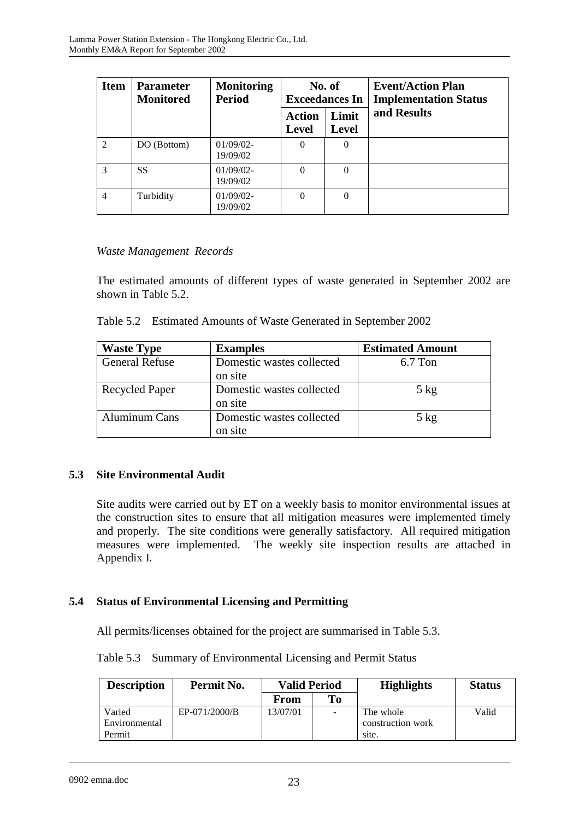| <b>Item</b>    | <b>Parameter</b><br><b>Monitored</b> | <b>Monitoring</b><br><b>Period</b> | No. of<br><b>Exceedances In</b> |                       | <b>Event/Action Plan</b><br><b>Implementation Status</b> |
|----------------|--------------------------------------|------------------------------------|---------------------------------|-----------------------|----------------------------------------------------------|
|                |                                      |                                    | <b>Action</b><br><b>Level</b>   | Limit<br><b>Level</b> | and Results                                              |
| $\mathfrak{D}$ | DO (Bottom)                          | $01/09/02$ -<br>19/09/02           | $\Omega$                        | 0                     |                                                          |
| $\mathcal{F}$  | <b>SS</b>                            | $01/09/02$ -<br>19/09/02           | $\Omega$                        | $\Omega$              |                                                          |
| $\overline{4}$ | Turbidity                            | $01/09/02$ -<br>19/09/02           | $\Omega$                        | $\theta$              |                                                          |

### *Waste Management Records*

The estimated amounts of different types of waste generated in September 2002 are shown in Table 5.2.

| Table 5.2 Estimated Amounts of Waste Generated in September 2002 |  |  |
|------------------------------------------------------------------|--|--|
|                                                                  |  |  |

| <b>Waste Type</b>     | <b>Examples</b>           | <b>Estimated Amount</b> |
|-----------------------|---------------------------|-------------------------|
| <b>General Refuse</b> | Domestic wastes collected | $6.7$ Ton               |
|                       | on site                   |                         |
| <b>Recycled Paper</b> | Domestic wastes collected | $5$ kg                  |
|                       | on site                   |                         |
| <b>Aluminum Cans</b>  | Domestic wastes collected | $5$ kg                  |
|                       | on site                   |                         |

### **5.3 Site Environmental Audit**

Site audits were carried out by ET on a weekly basis to monitor environmental issues at the construction sites to ensure that all mitigation measures were implemented timely and properly. The site conditions were generally satisfactory. All required mitigation measures were implemented. The weekly site inspection results are attached in Appendix I.

### **5.4 Status of Environmental Licensing and Permitting**

All permits/licenses obtained for the project are summarised in Table 5.3.

Table 5.3 Summary of Environmental Licensing and Permit Status

| <b>Description</b> | Permit No.    | <b>Valid Period</b> |                | <b>Highlights</b> | <b>Status</b> |
|--------------------|---------------|---------------------|----------------|-------------------|---------------|
|                    |               | From                | To             |                   |               |
| Varied             | EP-071/2000/B | 13/07/01            | $\blacksquare$ | The whole         | Valid         |
| Environmental      |               |                     |                | construction work |               |
| Permit             |               |                     |                | site.             |               |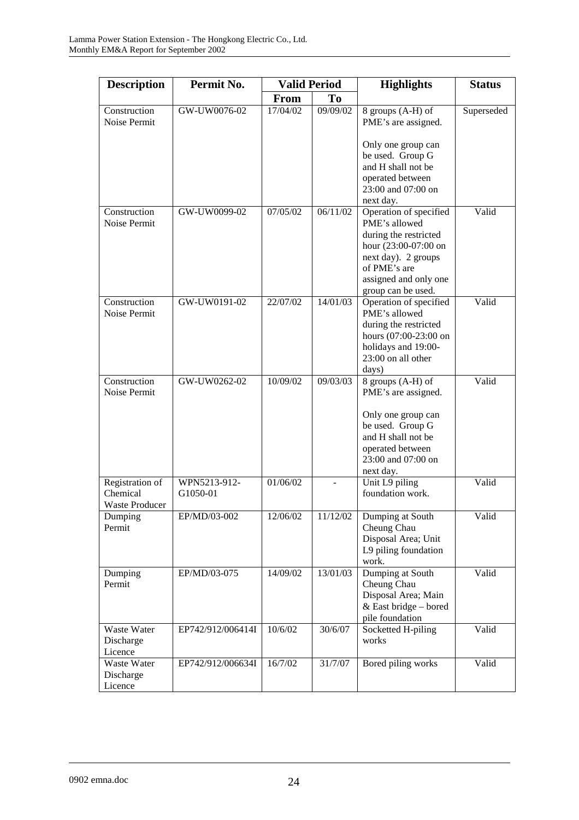| <b>Description</b>                                   | Permit No.               | <b>Valid Period</b>           |          | <b>Highlights</b>                                                                                                                                                              | <b>Status</b> |
|------------------------------------------------------|--------------------------|-------------------------------|----------|--------------------------------------------------------------------------------------------------------------------------------------------------------------------------------|---------------|
|                                                      |                          | T <sub>0</sub><br><b>From</b> |          |                                                                                                                                                                                |               |
| Construction<br>Noise Permit                         | GW-UW0076-02             | 17/04/02                      | 09/09/02 | 8 groups (A-H) of<br>PME's are assigned.                                                                                                                                       | Superseded    |
|                                                      |                          |                               |          | Only one group can<br>be used. Group G<br>and H shall not be<br>operated between<br>23:00 and 07:00 on<br>next day.                                                            |               |
| Construction<br>Noise Permit                         | GW-UW0099-02             | 07/05/02                      | 06/11/02 | Operation of specified<br>PME's allowed<br>during the restricted<br>hour (23:00-07:00 on<br>next day). 2 groups<br>of PME's are<br>assigned and only one<br>group can be used. | Valid         |
| Construction<br>Noise Permit                         | GW-UW0191-02             | 22/07/02                      | 14/01/03 | Operation of specified<br>PME's allowed<br>during the restricted<br>hours (07:00-23:00 on<br>holidays and 19:00-<br>23:00 on all other<br>days)                                | Valid         |
| Construction<br>Noise Permit                         | GW-UW0262-02             | 10/09/02                      | 09/03/03 | 8 groups (A-H) of<br>PME's are assigned.<br>Only one group can<br>be used. Group G<br>and H shall not be<br>operated between<br>23:00 and 07:00 on<br>next day.                | Valid         |
| Registration of<br>Chemical<br><b>Waste Producer</b> | WPN5213-912-<br>G1050-01 | 01/06/02                      |          | Unit L9 piling<br>foundation work.                                                                                                                                             | Valid         |
| Dumping<br>Permit                                    | EP/MD/03-002             | 12/06/02                      | 11/12/02 | Dumping at South<br>Cheung Chau<br>Disposal Area; Unit<br>L9 piling foundation<br>work.                                                                                        | Valid         |
| Dumping<br>Permit                                    | EP/MD/03-075             | 14/09/02                      | 13/01/03 | Dumping at South<br>Cheung Chau<br>Disposal Area; Main<br>& East bridge - bored<br>pile foundation                                                                             | Valid         |
| Waste Water<br>Discharge<br>Licence                  | EP742/912/006414I        | 10/6/02                       | 30/6/07  | Socketted H-piling<br>works                                                                                                                                                    | Valid         |
| Waste Water<br>Discharge<br>Licence                  | EP742/912/006634I        | 16/7/02                       | 31/7/07  | Bored piling works                                                                                                                                                             | Valid         |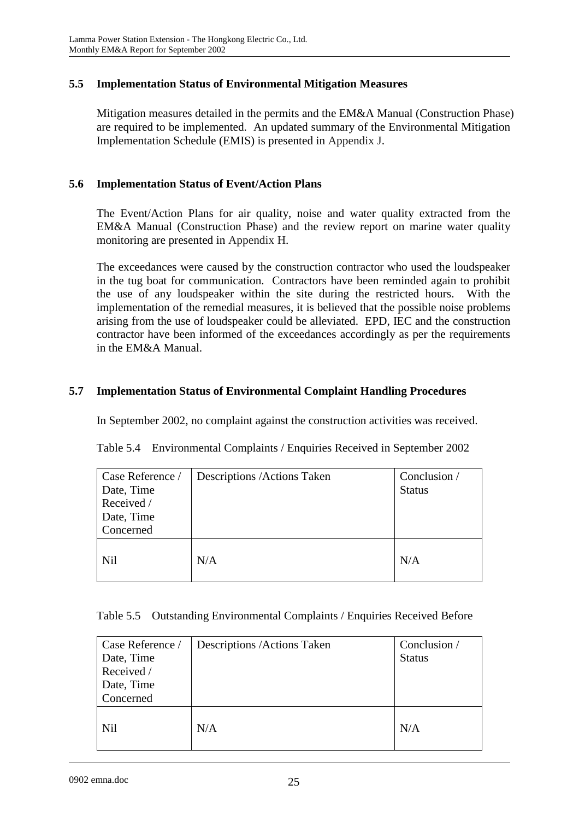#### **5.5 Implementation Status of Environmental Mitigation Measures**

Mitigation measures detailed in the permits and the EM&A Manual (Construction Phase) are required to be implemented. An updated summary of the Environmental Mitigation Implementation Schedule (EMIS) is presented in Appendix J.

#### **5.6 Implementation Status of Event/Action Plans**

The Event/Action Plans for air quality, noise and water quality extracted from the EM&A Manual (Construction Phase) and the review report on marine water quality monitoring are presented in Appendix H.

The exceedances were caused by the construction contractor who used the loudspeaker in the tug boat for communication. Contractors have been reminded again to prohibit the use of any loudspeaker within the site during the restricted hours. With the implementation of the remedial measures, it is believed that the possible noise problems arising from the use of loudspeaker could be alleviated. EPD, IEC and the construction contractor have been informed of the exceedances accordingly as per the requirements in the EM&A Manual.

#### **5.7 Implementation Status of Environmental Complaint Handling Procedures**

In September 2002, no complaint against the construction activities was received.

Table 5.4 Environmental Complaints / Enquiries Received in September 2002

| Case Reference /<br>Date, Time<br>Received /<br>Date, Time | Descriptions / Actions Taken | Conclusion /<br><b>Status</b> |
|------------------------------------------------------------|------------------------------|-------------------------------|
| Concerned                                                  |                              |                               |
| <b>Nil</b>                                                 | N/A                          | N/A                           |

|  |  | Table 5.5 Outstanding Environmental Complaints / Enquiries Received Before |
|--|--|----------------------------------------------------------------------------|
|  |  |                                                                            |

| Case Reference /<br>Date, Time<br>Received /<br>Date, Time<br>Concerned | Descriptions / Actions Taken | Conclusion /<br><b>Status</b> |
|-------------------------------------------------------------------------|------------------------------|-------------------------------|
| <b>Nil</b>                                                              | N/A                          | N/A                           |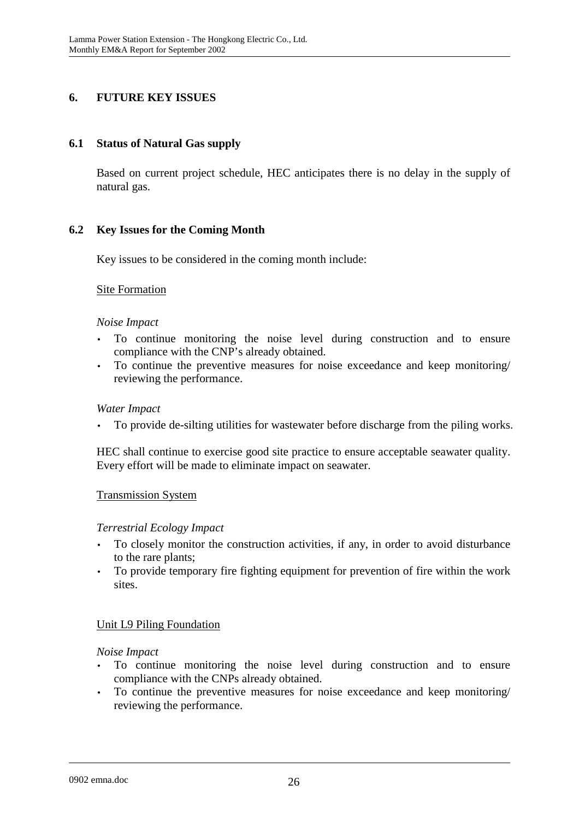### **6. FUTURE KEY ISSUES**

### **6.1 Status of Natural Gas supply**

Based on current project schedule, HEC anticipates there is no delay in the supply of natural gas.

### **6.2 Key Issues for the Coming Month**

Key issues to be considered in the coming month include:

### Site Formation

#### *Noise Impact*

- To continue monitoring the noise level during construction and to ensure compliance with the CNP's already obtained.
- To continue the preventive measures for noise exceedance and keep monitoring/ reviewing the performance.

#### *Water Impact*

• To provide de-silting utilities for wastewater before discharge from the piling works.

HEC shall continue to exercise good site practice to ensure acceptable seawater quality. Every effort will be made to eliminate impact on seawater.

### Transmission System

### *Terrestrial Ecology Impact*

- To closely monitor the construction activities, if any, in order to avoid disturbance to the rare plants;
- To provide temporary fire fighting equipment for prevention of fire within the work sites.

### Unit L9 Piling Foundation

#### *Noise Impact*

- To continue monitoring the noise level during construction and to ensure compliance with the CNPs already obtained.
- To continue the preventive measures for noise exceedance and keep monitoring/ reviewing the performance.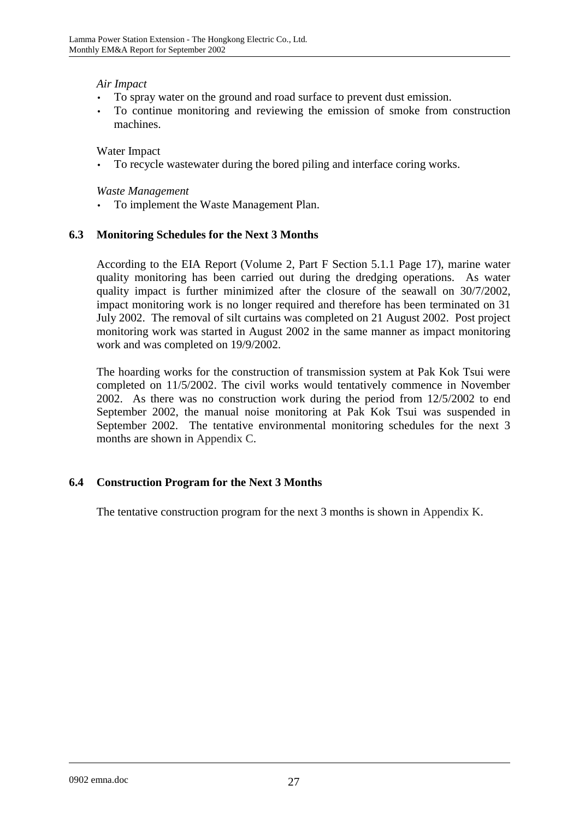### *Air Impact*

- To spray water on the ground and road surface to prevent dust emission.
- To continue monitoring and reviewing the emission of smoke from construction machines.

### Water Impact

• To recycle wastewater during the bored piling and interface coring works.

#### *Waste Management*

• To implement the Waste Management Plan.

### **6.3 Monitoring Schedules for the Next 3 Months**

According to the EIA Report (Volume 2, Part F Section 5.1.1 Page 17), marine water quality monitoring has been carried out during the dredging operations. As water quality impact is further minimized after the closure of the seawall on 30/7/2002, impact monitoring work is no longer required and therefore has been terminated on 31 July 2002. The removal of silt curtains was completed on 21 August 2002. Post project monitoring work was started in August 2002 in the same manner as impact monitoring work and was completed on 19/9/2002.

The hoarding works for the construction of transmission system at Pak Kok Tsui were completed on 11/5/2002. The civil works would tentatively commence in November 2002. As there was no construction work during the period from 12/5/2002 to end September 2002, the manual noise monitoring at Pak Kok Tsui was suspended in September 2002. The tentative environmental monitoring schedules for the next 3 months are shown in Appendix C.

### **6.4 Construction Program for the Next 3 Months**

The tentative construction program for the next 3 months is shown in Appendix K.